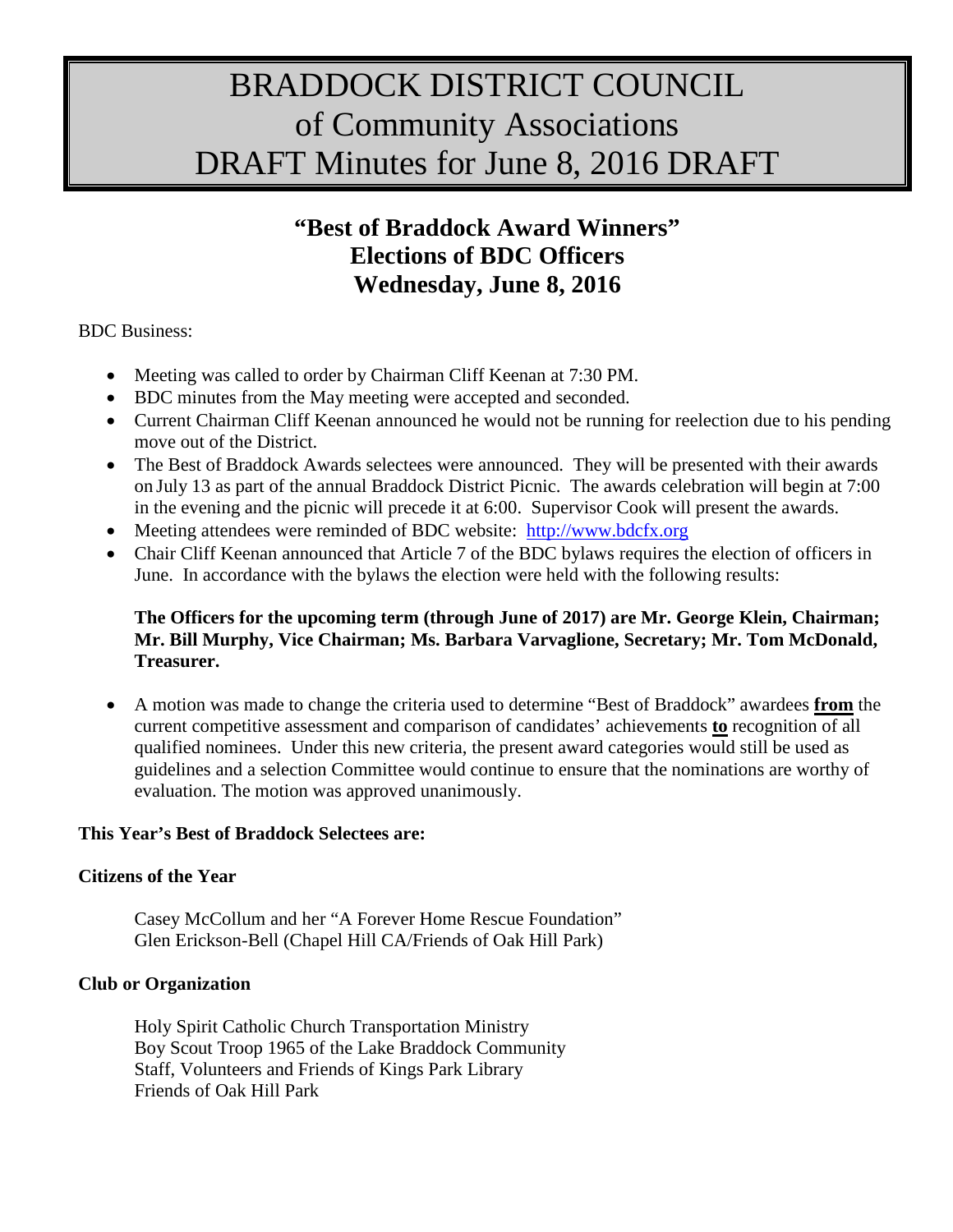# BRADDOCK DISTRICT COUNCIL of Community Associations DRAFT Minutes for June 8, 2016 DRAFT

# **"Best of Braddock Award Winners" Elections of BDC Officers Wednesday, June 8, 2016**

BDC Business:

- Meeting was called to order by Chairman Cliff Keenan at 7:30 PM.
- BDC minutes from the May meeting were accepted and seconded.
- Current Chairman Cliff Keenan announced he would not be running for reelection due to his pending move out of the District.
- The Best of Braddock Awards selectees were announced. They will be presented with their awards on July 13 as part of the annual Braddock District Picnic. The awards celebration will begin at 7:00 in the evening and the picnic will precede it at 6:00. Supervisor Cook will present the awards.
- Meeting attendees were reminded of BDC website: [http://www.bdcfx.org](http://www.bdcfx.org/)
- Chair Cliff Keenan announced that Article 7 of the BDC bylaws requires the election of officers in June. In accordance with the bylaws the election were held with the following results:

### **The Officers for the upcoming term (through June of 2017) are Mr. George Klein, Chairman; Mr. Bill Murphy, Vice Chairman; Ms. Barbara Varvaglione, Secretary; Mr. Tom McDonald, Treasurer.**

• A motion was made to change the criteria used to determine "Best of Braddock" awardees **from** the current competitive assessment and comparison of candidates' achievements **to** recognition of all qualified nominees. Under this new criteria, the present award categories would still be used as guidelines and a selection Committee would continue to ensure that the nominations are worthy of evaluation. The motion was approved unanimously.

#### **This Year's Best of Braddock Selectees are:**

#### **Citizens of the Year**

Casey McCollum and her "A Forever Home Rescue Foundation" Glen Erickson-Bell (Chapel Hill CA/Friends of Oak Hill Park)

#### **Club or Organization**

Holy Spirit Catholic Church Transportation Ministry Boy Scout Troop 1965 of the Lake Braddock Community Staff, Volunteers and Friends of Kings Park Library Friends of Oak Hill Park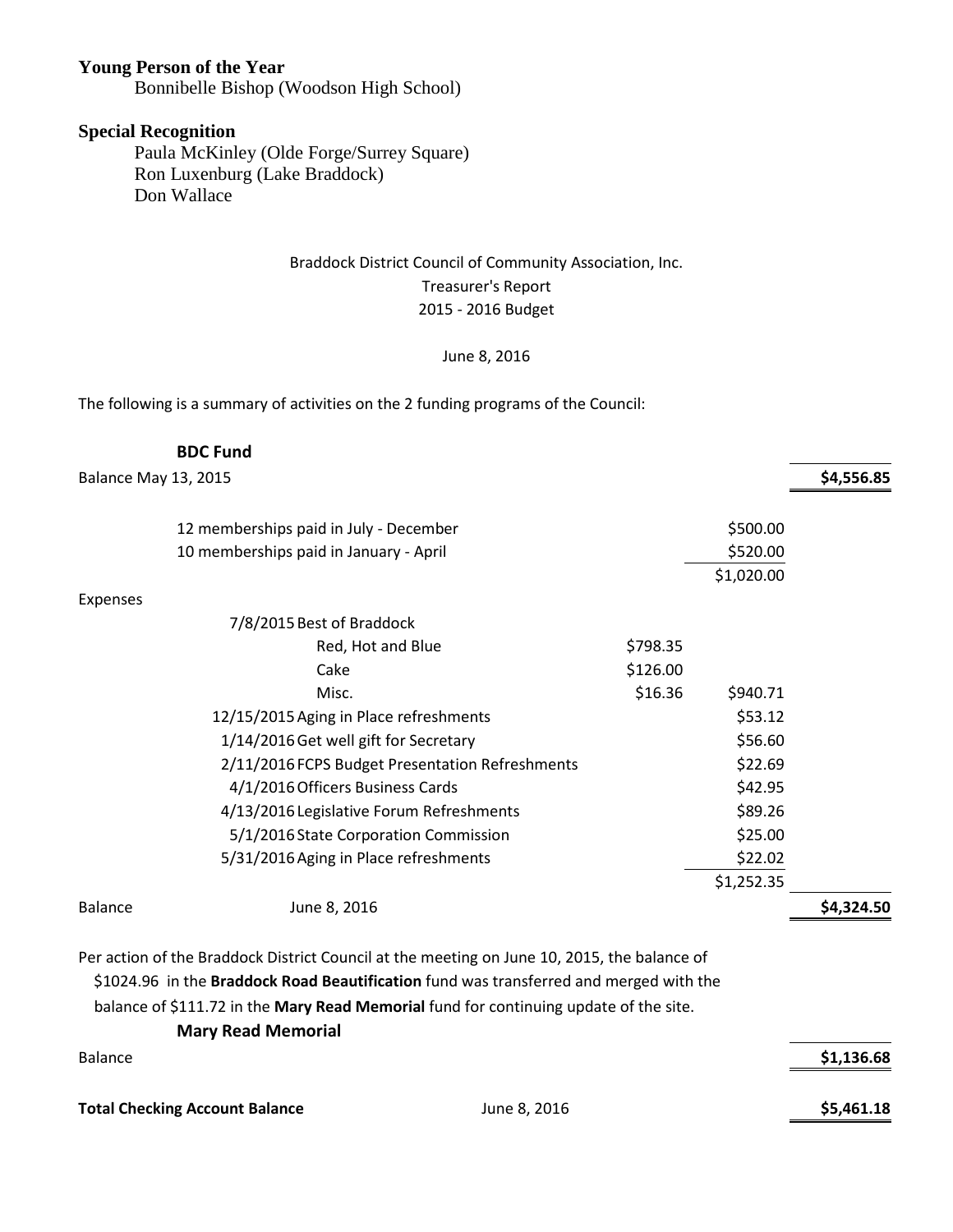#### **Young Person of the Year**

Bonnibelle Bishop (Woodson High School)

#### **Special Recognition**

Paula McKinley (Olde Forge/Surrey Square) Ron Luxenburg (Lake Braddock) Don Wallace

## Braddock District Council of Community Association, Inc. Treasurer's Report 2015 - 2016 Budget

#### June 8, 2016

The following is a summary of activities on the 2 funding programs of the Council:

| \$4,556.85 |
|------------|
|            |
|            |
|            |
|            |
|            |
|            |
|            |
|            |
|            |
|            |
|            |
|            |
|            |
|            |
|            |
| \$4,324.50 |
|            |
|            |

 \$1024.96 in the **Braddock Road Beautification** fund was transferred and merged with the balance of \$111.72 in the **Mary Read Memorial** fund for continuing update of the site. **Mary Read Memorial**

| Balance                               |              | \$1,136.68 |
|---------------------------------------|--------------|------------|
| <b>Total Checking Account Balance</b> | June 8, 2016 | \$5,461.18 |